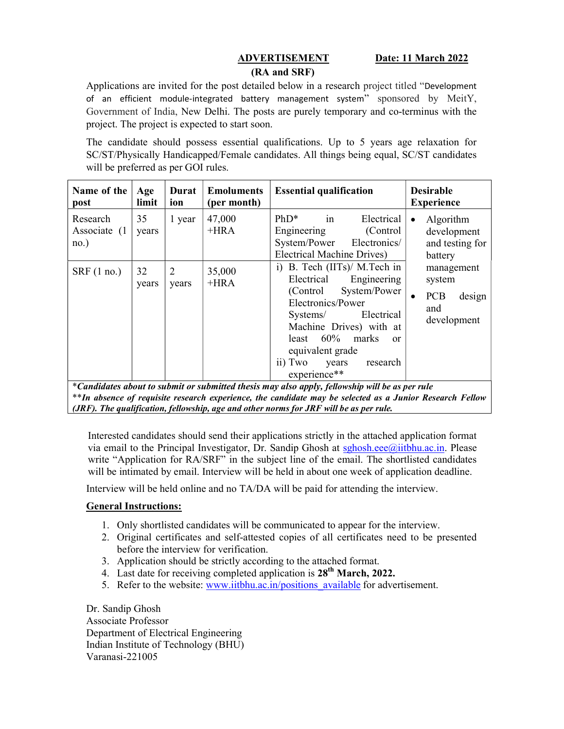## ADVERTISEMENT Date: 11 March 2022 (RA and SRF)

Applications are invited for the post detailed below in a research project titled "Development of an efficient module-integrated battery management system" sponsored by MeitY, Government of India, New Delhi. The posts are purely temporary and co-terminus with the project. The project is expected to start soon.

The candidate should possess essential qualifications. Up to 5 years age relaxation for SC/ST/Physically Handicapped/Female candidates. All things being equal, SC/ST candidates will be preferred as per GOI rules.

| Name of the<br>post               | Age<br>limit | Durat<br>ion            | <b>Emoluments</b><br>(per month) | <b>Essential qualification</b>                                                                                                                                                                                                                                                                                                                                                                 | <b>Desirable</b><br><b>Experience</b>                                                                                                     |
|-----------------------------------|--------------|-------------------------|----------------------------------|------------------------------------------------------------------------------------------------------------------------------------------------------------------------------------------------------------------------------------------------------------------------------------------------------------------------------------------------------------------------------------------------|-------------------------------------------------------------------------------------------------------------------------------------------|
| Research<br>Associate (1)<br>no.) | 35<br>years  | 1 year                  | 47,000<br>$+HRA$                 | $PhD^*$<br>Electrical<br>in<br>Engineering<br>(Control)<br>System/Power<br>Electronics/<br><b>Electrical Machine Drives)</b>                                                                                                                                                                                                                                                                   | Algorithm<br>$\bullet$<br>development<br>and testing for<br>battery<br>management<br>system<br><b>PCB</b><br>design<br>and<br>development |
| SRF(1 no.)                        | 32<br>years  | $\overline{2}$<br>years | 35,000<br>$+HRA$                 | B. Tech (IITs)/ M. Tech in<br>$\mathbf{i}$<br>Electrical<br>Engineering<br>System/Power<br>(Control)<br>Electronics/Power<br>Electrical<br>Systems/<br>Machine Drives) with at<br>60%<br>marks<br>least<br><sub>or</sub><br>equivalent grade<br>research<br>ii) Two<br>years<br>experience**<br>*Candidates about to submit or submitted thesis may also apply, fellowship will be as per rule |                                                                                                                                           |

th absence of requisite research experience, the candidate may be selected as a Junior Research Fellow  $\overline{I}$ (JRF). The qualification, fellowship, age and other norms for JRF will be as per rule.

Interested candidates should send their applications strictly in the attached application format via email to the Principal Investigator, Dr. Sandip Ghosh at sghosh.eee@iitbhu.ac.in. Please write "Application for RA/SRF" in the subject line of the email. The shortlisted candidates will be intimated by email. Interview will be held in about one week of application deadline.

Interview will be held online and no TA/DA will be paid for attending the interview.

# General Instructions:

- 1. Only shortlisted candidates will be communicated to appear for the interview.
- 2. Original certificates and self-attested copies of all certificates need to be presented before the interview for verification.
- 3. Application should be strictly according to the attached format.
- 4. Last date for receiving completed application is  $28<sup>th</sup>$  March, 2022.
- 5. Refer to the website: www.iitbhu.ac.in/positions available for advertisement.

Dr. Sandip Ghosh Associate Professor Department of Electrical Engineering Indian Institute of Technology (BHU) Varanasi-221005